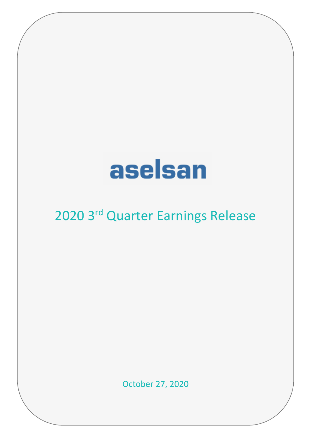# aselsan

## 2020 3rd Quarter Earnings Release

October 27, 2020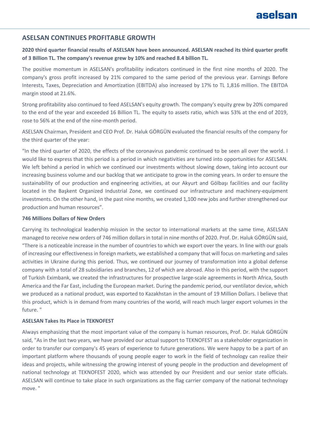### aselsan

### **ASELSAN CONTINUES PROFITABLE GROWTH**

### **2020 third quarter financial results of ASELSAN have been announced. ASELSAN reached its third quarter profit of 3 Billion TL. The company's revenue grew by 10% and reached 8.4 billion TL.**

The positive momentum in ASELSAN's profitability indicators continued in the first nine months of 2020. The company's gross profit increased by 21% compared to the same period of the previous year. Earnings Before Interests, Taxes, Depreciation and Amortization (EBITDA) also increased by 17% to TL 1,816 million. The EBITDA margin stood at 21.6%.

Strong profitability also continued to feed ASELSAN's equity growth. The company's equity grew by 20% compared to the end of the year and exceeded 16 Billion TL. The equity to assets ratio, which was 53% at the end of 2019, rose to 56% at the end of the nine-month period.

ASELSAN Chairman, President and CEO Prof. Dr. Haluk GÖRGÜN evaluated the financial results of the company for the third quarter of the year:

"In the third quarter of 2020, the effects of the coronavirus pandemic continued to be seen all over the world. I would like to express that this period is a period in which negativities are turned into opportunities for ASELSAN. We left behind a period in which we continued our investments without slowing down, taking into account our increasing business volume and our backlog that we anticipate to grow in the coming years. In order to ensure the sustainability of our production and engineering activities, at our Akyurt and Gölbaşı facilities and our facility located in the Başkent Organized Industrial Zone, we continued our infrastructure and machinery-equipment investments. On the other hand, in the past nine months, we created 1,100 new jobs and further strengthened our production and human resources".

#### **746 Millions Dollars of New Orders**

Carrying its technological leadership mission in the sector to international markets at the same time, ASELSAN managed to receive new orders of 746 million dollars in total in nine months of 2020. Prof. Dr. Haluk GÖRGÜN said, "There is a noticeable increase in the number of countries to which we export over the years. In line with our goals of increasing our effectiveness in foreign markets, we established a company that will focus on marketing and sales activities in Ukraine during this period. Thus, we continued our journey of transformation into a global defense company with a total of 28 subsidiaries and branches, 12 of which are abroad. Also in this period, with the support of Turkish Eximbank, we created the infrastructures for prospective large-scale agreements in North Africa, South America and the Far East, including the European market. During the pandemic period, our ventilator device, which we produced as a national product, was exported to Kazakhstan in the amount of 19 Million Dollars. I believe that this product, which is in demand from many countries of the world, will reach much larger export volumes in the future. "

#### **ASELSAN Takes Its Place in TEKNOFEST**

Always emphasizing that the most important value of the company is human resources, Prof. Dr. Haluk GÖRGÜN said, "As in the last two years, we have provided our actual support to TEKNOFEST as a stakeholder organization in order to transfer our company's 45 years of experience to future generations. We were happy to be a part of an important platform where thousands of young people eager to work in the field of technology can realize their ideas and projects, while witnessing the growing interest of young people in the production and development of national technology at TEKNOFEST 2020, which was attended by our President and our senior state officials. ASELSAN will continue to take place in such organizations as the flag carrier company of the national technology move. "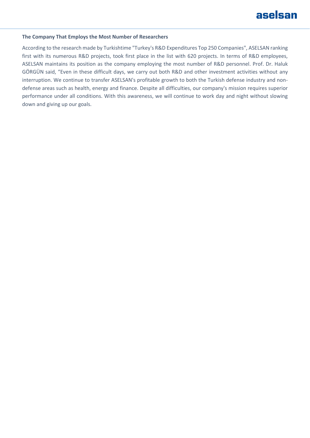

#### **The Company That Employs the Most Number of Researchers**

According to the research made by Turkishtime "Turkey's R&D Expenditures Top 250 Companies", ASELSAN ranking first with its numerous R&D projects, took first place in the list with 620 projects. In terms of R&D employees, ASELSAN maintains its position as the company employing the most number of R&D personnel. Prof. Dr. Haluk GÖRGÜN said, "Even in these difficult days, we carry out both R&D and other investment activities without any interruption. We continue to transfer ASELSAN's profitable growth to both the Turkish defense industry and nondefense areas such as health, energy and finance. Despite all difficulties, our company's mission requires superior performance under all conditions. With this awareness, we will continue to work day and night without slowing down and giving up our goals.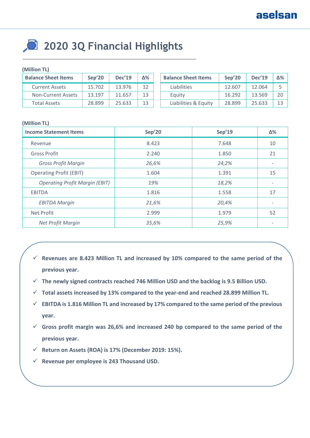### **2020 3Q Financial Highlights**

### **(Million TL)**

| <b>Balance Sheet Items</b> | Sep'20 | <b>Dec'19</b> | Δ% | <b>Balance Sheet Items</b> | Sep'20 | <b>Dec'19</b> | Δ%             |
|----------------------------|--------|---------------|----|----------------------------|--------|---------------|----------------|
| <b>Current Assets</b>      | 15.702 | 13.976        | 12 | <b>Liabilities</b>         | 12.607 | 12.064        |                |
| Non-Current Assets         | 13.197 | 11.657        | 13 | Equity                     | 16.292 | 13.569        | 2 <sub>C</sub> |
| <b>Total Assets</b>        | 28.899 | 25.633        | 13 | Liabilities & Equity       | 28.899 | 25.633        | 12             |

### **(Million TL)**

| <b>Income Statement Items</b>         | Sep'20 | Sep'19 | Δ%                       |
|---------------------------------------|--------|--------|--------------------------|
| Revenue                               | 8.423  | 7.648  | 10                       |
| <b>Gross Profit</b>                   | 2.240  | 1.850  | 21                       |
| <b>Gross Profit Margin</b>            | 26,6%  | 24,2%  |                          |
| <b>Operating Profit (EBIT)</b>        | 1.604  | 1.391  | 15                       |
| <b>Operating Profit Margin (EBIT)</b> | 19%    | 18,2%  |                          |
| <b>EBITDA</b>                         | 1.816  | 1.558  | 17                       |
| <b>EBITDA Margin</b>                  | 21,6%  | 20,4%  | $\overline{\phantom{a}}$ |
| Net Profit                            | 2.999  | 1.979  | 52                       |
| Net Profit Margin                     | 35,6%  | 25,9%  | $\overline{\phantom{a}}$ |

- **Revenues are 8.423 Million TL and increased by 10% compared to the same period of the previous year.**
- **The newly signed contracts reached 746 Million USD and the backlog is 9.5 Billion USD.**
- **Total assets increased by 13% compared to the year-end and reached 28.899 Million TL.**
- **EBITDA is 1.816 Million TL and increased by 17% compared to the same period of the previous year.**
- **Gross profit margin was 26,6% and increased 240 bp compared to the same period of the previous year.**
- **Return on Assets (ROA) is 17% (December 2019: 15%).**
- **Revenue per employee is 243 Thousand USD.**

**Revenue per employee is 296 Thousand USD.**